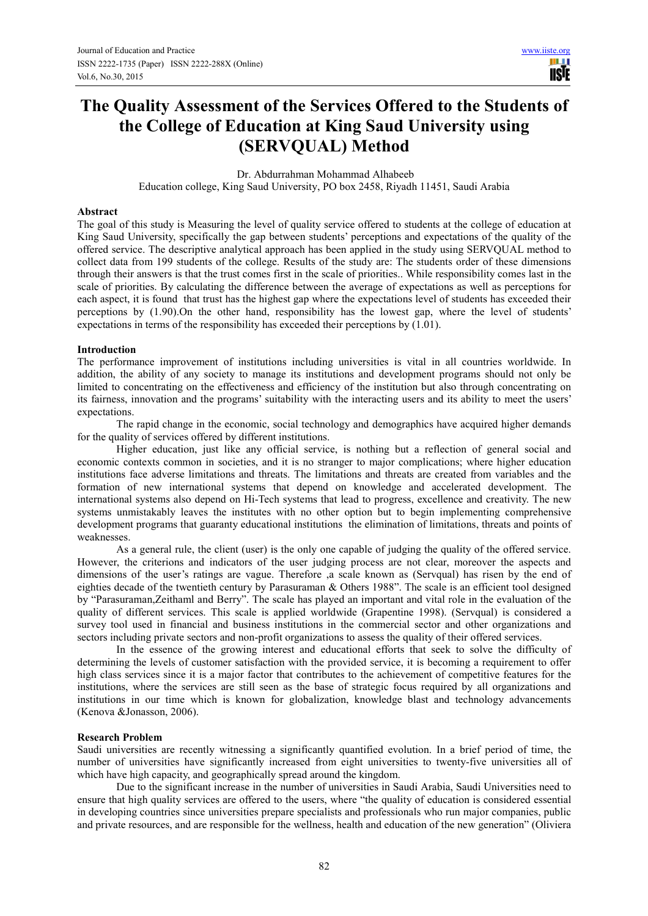H **TISIE** 

# **The Quality Assessment of the Services Offered to the Students of the College of Education at King Saud University using (SERVQUAL) Method**

Dr. Abdurrahman Mohammad Alhabeeb

Education college, King Saud University, PO box 2458, Riyadh 11451, Saudi Arabia

#### **Abstract**

The goal of this study is Measuring the level of quality service offered to students at the college of education at King Saud University, specifically the gap between students' perceptions and expectations of the quality of the offered service. The descriptive analytical approach has been applied in the study using SERVQUAL method to collect data from 199 students of the college. Results of the study are: The students order of these dimensions through their answers is that the trust comes first in the scale of priorities.. While responsibility comes last in the scale of priorities. By calculating the difference between the average of expectations as well as perceptions for each aspect, it is found that trust has the highest gap where the expectations level of students has exceeded their perceptions by (1.90).On the other hand, responsibility has the lowest gap, where the level of students' expectations in terms of the responsibility has exceeded their perceptions by (1.01).

#### **Introduction**

The performance improvement of institutions including universities is vital in all countries worldwide. In addition, the ability of any society to manage its institutions and development programs should not only be limited to concentrating on the effectiveness and efficiency of the institution but also through concentrating on its fairness, innovation and the programs' suitability with the interacting users and its ability to meet the users' expectations.

The rapid change in the economic, social technology and demographics have acquired higher demands for the quality of services offered by different institutions.

Higher education, just like any official service, is nothing but a reflection of general social and economic contexts common in societies, and it is no stranger to major complications; where higher education institutions face adverse limitations and threats. The limitations and threats are created from variables and the formation of new international systems that depend on knowledge and accelerated development. The international systems also depend on Hi-Tech systems that lead to progress, excellence and creativity. The new systems unmistakably leaves the institutes with no other option but to begin implementing comprehensive development programs that guaranty educational institutions the elimination of limitations, threats and points of weaknesses.

As a general rule, the client (user) is the only one capable of judging the quality of the offered service. However, the criterions and indicators of the user judging process are not clear, moreover the aspects and dimensions of the user's ratings are vague. Therefore ,a scale known as (Servqual) has risen by the end of eighties decade of the twentieth century by Parasuraman & Others 1988". The scale is an efficient tool designed by "Parasuraman,Zeithaml and Berry". The scale has played an important and vital role in the evaluation of the quality of different services. This scale is applied worldwide (Grapentine 1998). (Servqual) is considered a survey tool used in financial and business institutions in the commercial sector and other organizations and sectors including private sectors and non-profit organizations to assess the quality of their offered services.

In the essence of the growing interest and educational efforts that seek to solve the difficulty of determining the levels of customer satisfaction with the provided service, it is becoming a requirement to offer high class services since it is a major factor that contributes to the achievement of competitive features for the institutions, where the services are still seen as the base of strategic focus required by all organizations and institutions in our time which is known for globalization, knowledge blast and technology advancements (Kenova &Jonasson, 2006).

#### **Research Problem**

Saudi universities are recently witnessing a significantly quantified evolution. In a brief period of time, the number of universities have significantly increased from eight universities to twenty-five universities all of which have high capacity, and geographically spread around the kingdom.

Due to the significant increase in the number of universities in Saudi Arabia, Saudi Universities need to ensure that high quality services are offered to the users, where "the quality of education is considered essential in developing countries since universities prepare specialists and professionals who run major companies, public and private resources, and are responsible for the wellness, health and education of the new generation" (Oliviera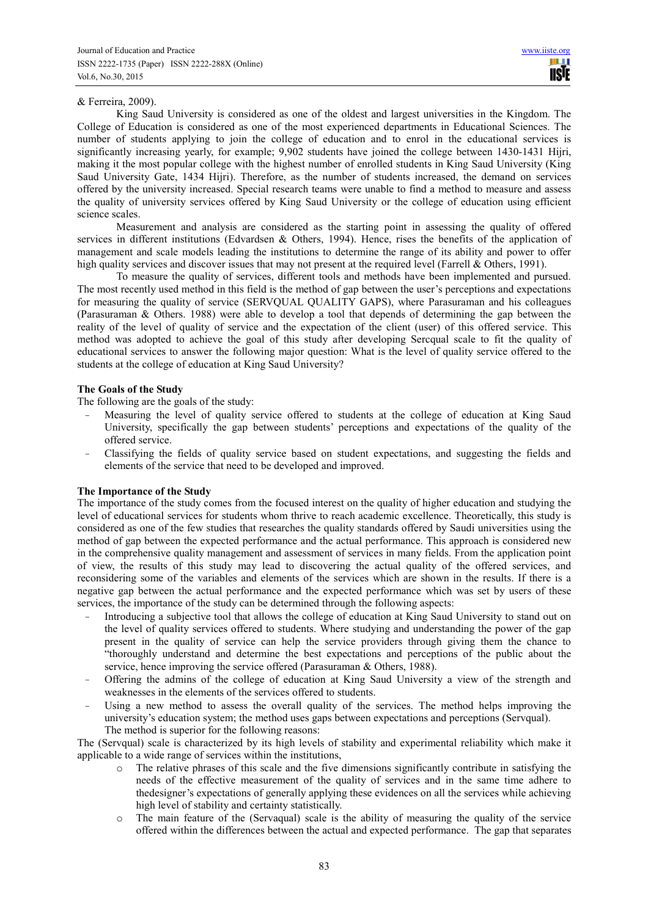#### & Ferreira, 2009).

King Saud University is considered as one of the oldest and largest universities in the Kingdom. The College of Education is considered as one of the most experienced departments in Educational Sciences. The number of students applying to join the college of education and to enrol in the educational services is significantly increasing yearly, for example; 9,902 students have joined the college between 1430-1431 Hijri, making it the most popular college with the highest number of enrolled students in King Saud University (King Saud University Gate, 1434 Hijri). Therefore, as the number of students increased, the demand on services offered by the university increased. Special research teams were unable to find a method to measure and assess the quality of university services offered by King Saud University or the college of education using efficient science scales.

Measurement and analysis are considered as the starting point in assessing the quality of offered services in different institutions (Edvardsen & Others, 1994). Hence, rises the benefits of the application of management and scale models leading the institutions to determine the range of its ability and power to offer high quality services and discover issues that may not present at the required level (Farrell & Others, 1991).

To measure the quality of services, different tools and methods have been implemented and pursued. The most recently used method in this field is the method of gap between the user's perceptions and expectations for measuring the quality of service (SERVQUAL QUALITY GAPS), where Parasuraman and his colleagues (Parasuraman & Others. 1988) were able to develop a tool that depends of determining the gap between the reality of the level of quality of service and the expectation of the client (user) of this offered service. This method was adopted to achieve the goal of this study after developing Sercqual scale to fit the quality of educational services to answer the following major question: What is the level of quality service offered to the students at the college of education at King Saud University?

#### **The Goals of the Study**

The following are the goals of the study:

- Measuring the level of quality service offered to students at the college of education at King Saud University, specifically the gap between students' perceptions and expectations of the quality of the offered service.
- Classifying the fields of quality service based on student expectations, and suggesting the fields and elements of the service that need to be developed and improved.

#### **The Importance of the Study**

The importance of the study comes from the focused interest on the quality of higher education and studying the level of educational services for students whom thrive to reach academic excellence. Theoretically, this study is considered as one of the few studies that researches the quality standards offered by Saudi universities using the method of gap between the expected performance and the actual performance. This approach is considered new in the comprehensive quality management and assessment of services in many fields. From the application point of view, the results of this study may lead to discovering the actual quality of the offered services, and reconsidering some of the variables and elements of the services which are shown in the results. If there is a negative gap between the actual performance and the expected performance which was set by users of these services, the importance of the study can be determined through the following aspects:

- Introducing a subjective tool that allows the college of education at King Saud University to stand out on the level of quality services offered to students. Where studying and understanding the power of the gap present in the quality of service can help the service providers through giving them the chance to "thoroughly understand and determine the best expectations and perceptions of the public about the service, hence improving the service offered (Parasuraman & Others, 1988).
- Offering the admins of the college of education at King Saud University a view of the strength and weaknesses in the elements of the services offered to students.
- Using a new method to assess the overall quality of the services. The method helps improving the university's education system; the method uses gaps between expectations and perceptions (Servqual). The method is superior for the following reasons:

The (Servqual) scale is characterized by its high levels of stability and experimental reliability which make it applicable to a wide range of services within the institutions,

- o The relative phrases of this scale and the five dimensions significantly contribute in satisfying the needs of the effective measurement of the quality of services and in the same time adhere to thedesigner's expectations of generally applying these evidences on all the services while achieving high level of stability and certainty statistically.
- o The main feature of the (Servaqual) scale is the ability of measuring the quality of the service offered within the differences between the actual and expected performance. The gap that separates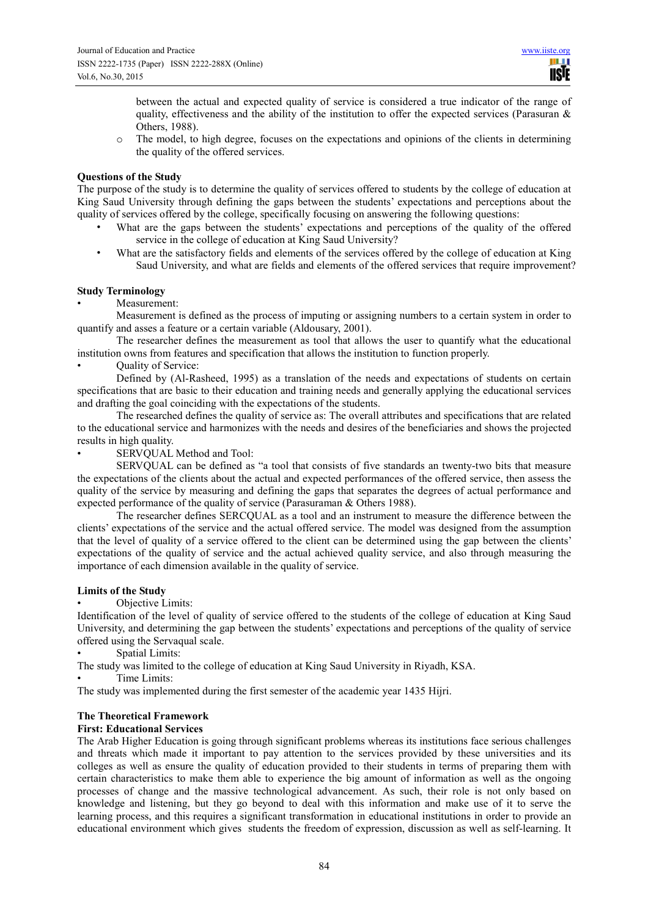between the actual and expected quality of service is considered a true indicator of the range of quality, effectiveness and the ability of the institution to offer the expected services (Parasuran  $\&$ Others, 1988).

o The model, to high degree, focuses on the expectations and opinions of the clients in determining the quality of the offered services.

#### **Questions of the Study**

The purpose of the study is to determine the quality of services offered to students by the college of education at King Saud University through defining the gaps between the students' expectations and perceptions about the quality of services offered by the college, specifically focusing on answering the following questions:

- What are the gaps between the students' expectations and perceptions of the quality of the offered service in the college of education at King Saud University?
- What are the satisfactory fields and elements of the services offered by the college of education at King Saud University, and what are fields and elements of the offered services that require improvement?

### **Study Terminology**

Measurement:

Measurement is defined as the process of imputing or assigning numbers to a certain system in order to quantify and asses a feature or a certain variable (Aldousary, 2001).

The researcher defines the measurement as tool that allows the user to quantify what the educational institution owns from features and specification that allows the institution to function properly.

• Quality of Service:

Defined by (Al-Rasheed, 1995) as a translation of the needs and expectations of students on certain specifications that are basic to their education and training needs and generally applying the educational services and drafting the goal coinciding with the expectations of the students.

The researched defines the quality of service as: The overall attributes and specifications that are related to the educational service and harmonizes with the needs and desires of the beneficiaries and shows the projected results in high quality.

SERVOUAL Method and Tool:

SERVQUAL can be defined as "a tool that consists of five standards an twenty-two bits that measure the expectations of the clients about the actual and expected performances of the offered service, then assess the quality of the service by measuring and defining the gaps that separates the degrees of actual performance and expected performance of the quality of service (Parasuraman & Others 1988).

The researcher defines SERCQUAL as a tool and an instrument to measure the difference between the clients' expectations of the service and the actual offered service. The model was designed from the assumption that the level of quality of a service offered to the client can be determined using the gap between the clients' expectations of the quality of service and the actual achieved quality service, and also through measuring the importance of each dimension available in the quality of service.

#### **Limits of the Study**

Objective Limits:

Identification of the level of quality of service offered to the students of the college of education at King Saud University, and determining the gap between the students' expectations and perceptions of the quality of service offered using the Servaqual scale.

Spatial Limits:

The study was limited to the college of education at King Saud University in Riyadh, KSA.

Time Limits:

The study was implemented during the first semester of the academic year 1435 Hijri.

#### **The Theoretical Framework**

#### **First: Educational Services**

The Arab Higher Education is going through significant problems whereas its institutions face serious challenges and threats which made it important to pay attention to the services provided by these universities and its colleges as well as ensure the quality of education provided to their students in terms of preparing them with certain characteristics to make them able to experience the big amount of information as well as the ongoing processes of change and the massive technological advancement. As such, their role is not only based on knowledge and listening, but they go beyond to deal with this information and make use of it to serve the learning process, and this requires a significant transformation in educational institutions in order to provide an educational environment which gives students the freedom of expression, discussion as well as self-learning. It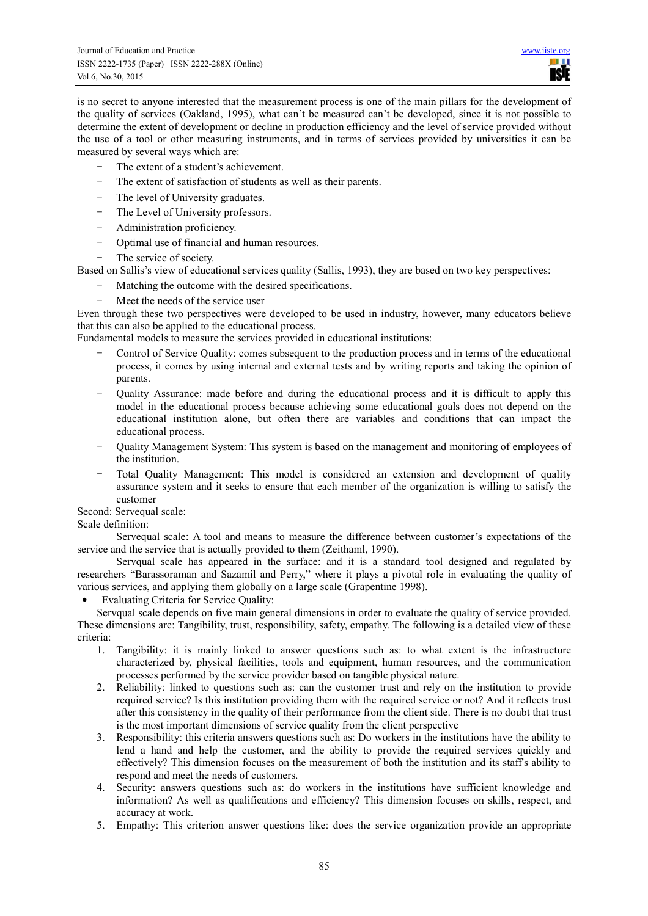is no secret to anyone interested that the measurement process is one of the main pillars for the development of the quality of services (Oakland, 1995), what can't be measured can't be developed, since it is not possible to determine the extent of development or decline in production efficiency and the level of service provided without the use of a tool or other measuring instruments, and in terms of services provided by universities it can be measured by several ways which are:

- The extent of a student's achievement.
- The extent of satisfaction of students as well as their parents.
- The level of University graduates.
- The Level of University professors.
- Administration proficiency.
- Optimal use of financial and human resources.
- The service of society.

Based on Sallis's view of educational services quality (Sallis, 1993), they are based on two key perspectives:

- Matching the outcome with the desired specifications.
- Meet the needs of the service user

Even through these two perspectives were developed to be used in industry, however, many educators believe that this can also be applied to the educational process.

Fundamental models to measure the services provided in educational institutions:

- Control of Service Quality: comes subsequent to the production process and in terms of the educational process, it comes by using internal and external tests and by writing reports and taking the opinion of parents.
- Quality Assurance: made before and during the educational process and it is difficult to apply this model in the educational process because achieving some educational goals does not depend on the educational institution alone, but often there are variables and conditions that can impact the educational process.
- Quality Management System: This system is based on the management and monitoring of employees of the institution.
- Total Quality Management: This model is considered an extension and development of quality assurance system and it seeks to ensure that each member of the organization is willing to satisfy the customer

Second: Servequal scale:

Scale definition:

Servequal scale: A tool and means to measure the difference between customer's expectations of the service and the service that is actually provided to them (Zeithaml, 1990).

Servqual scale has appeared in the surface: and it is a standard tool designed and regulated by researchers "Barassoraman and Sazamil and Perry," where it plays a pivotal role in evaluating the quality of various services, and applying them globally on a large scale (Grapentine 1998).

• Evaluating Criteria for Service Quality:

Servqual scale depends on five main general dimensions in order to evaluate the quality of service provided. These dimensions are: Tangibility, trust, responsibility, safety, empathy. The following is a detailed view of these criteria:

- 1. Tangibility: it is mainly linked to answer questions such as: to what extent is the infrastructure characterized by, physical facilities, tools and equipment, human resources, and the communication processes performed by the service provider based on tangible physical nature.
- 2. Reliability: linked to questions such as: can the customer trust and rely on the institution to provide required service? Is this institution providing them with the required service or not? And it reflects trust after this consistency in the quality of their performance from the client side. There is no doubt that trust is the most important dimensions of service quality from the client perspective
- 3. Responsibility: this criteria answers questions such as: Do workers in the institutions have the ability to lend a hand and help the customer, and the ability to provide the required services quickly and effectively? This dimension focuses on the measurement of both the institution and its staff's ability to respond and meet the needs of customers.
- 4. Security: answers questions such as: do workers in the institutions have sufficient knowledge and information? As well as qualifications and efficiency? This dimension focuses on skills, respect, and accuracy at work.
- 5. Empathy: This criterion answer questions like: does the service organization provide an appropriate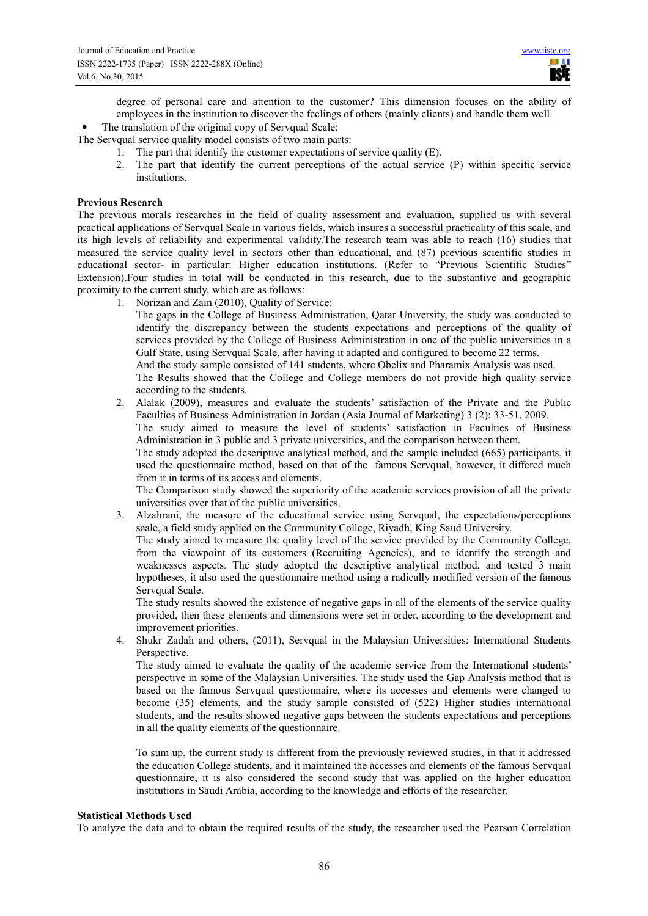degree of personal care and attention to the customer? This dimension focuses on the ability of employees in the institution to discover the feelings of others (mainly clients) and handle them well.

#### The translation of the original copy of Servqual Scale:

The Servqual service quality model consists of two main parts:

- 1. The part that identify the customer expectations of service quality (E).
- 2. The part that identify the current perceptions of the actual service (P) within specific service institutions.

#### **Previous Research**

The previous morals researches in the field of quality assessment and evaluation, supplied us with several practical applications of Servqual Scale in various fields, which insures a successful practicality of this scale, and its high levels of reliability and experimental validity.The research team was able to reach (16) studies that measured the service quality level in sectors other than educational, and (87) previous scientific studies in educational sector- in particular: Higher education institutions. (Refer to "Previous Scientific Studies" Extension).Four studies in total will be conducted in this research, due to the substantive and geographic proximity to the current study, which are as follows:

1. Norizan and Zain (2010), Quality of Service:

The gaps in the College of Business Administration, Qatar University, the study was conducted to identify the discrepancy between the students expectations and perceptions of the quality of services provided by the College of Business Administration in one of the public universities in a Gulf State, using Servqual Scale, after having it adapted and configured to become 22 terms.

And the study sample consisted of 141 students, where Obelix and Pharamix Analysis was used. The Results showed that the College and College members do not provide high quality service according to the students.

2. Alalak (2009), measures and evaluate the students' satisfaction of the Private and the Public Faculties of Business Administration in Jordan (Asia Journal of Marketing) 3 (2): 33-51, 2009.

The study aimed to measure the level of students' satisfaction in Faculties of Business Administration in 3 public and 3 private universities, and the comparison between them.

The study adopted the descriptive analytical method, and the sample included (665) participants, it used the questionnaire method, based on that of the famous Servqual, however, it differed much from it in terms of its access and elements.

The Comparison study showed the superiority of the academic services provision of all the private universities over that of the public universities.

3. Alzahrani, the measure of the educational service using Servqual, the expectations/perceptions scale, a field study applied on the Community College, Riyadh, King Saud University.

The study aimed to measure the quality level of the service provided by the Community College, from the viewpoint of its customers (Recruiting Agencies), and to identify the strength and weaknesses aspects. The study adopted the descriptive analytical method, and tested 3 main hypotheses, it also used the questionnaire method using a radically modified version of the famous Servqual Scale.

The study results showed the existence of negative gaps in all of the elements of the service quality provided, then these elements and dimensions were set in order, according to the development and improvement priorities.

4. Shukr Zadah and others, (2011), Servqual in the Malaysian Universities: International Students Perspective.

The study aimed to evaluate the quality of the academic service from the International students' perspective in some of the Malaysian Universities. The study used the Gap Analysis method that is based on the famous Servqual questionnaire, where its accesses and elements were changed to become (35) elements, and the study sample consisted of (522) Higher studies international students, and the results showed negative gaps between the students expectations and perceptions in all the quality elements of the questionnaire.

To sum up, the current study is different from the previously reviewed studies, in that it addressed the education College students, and it maintained the accesses and elements of the famous Servqual questionnaire, it is also considered the second study that was applied on the higher education institutions in Saudi Arabia, according to the knowledge and efforts of the researcher.

#### **Statistical Methods Used**

To analyze the data and to obtain the required results of the study, the researcher used the Pearson Correlation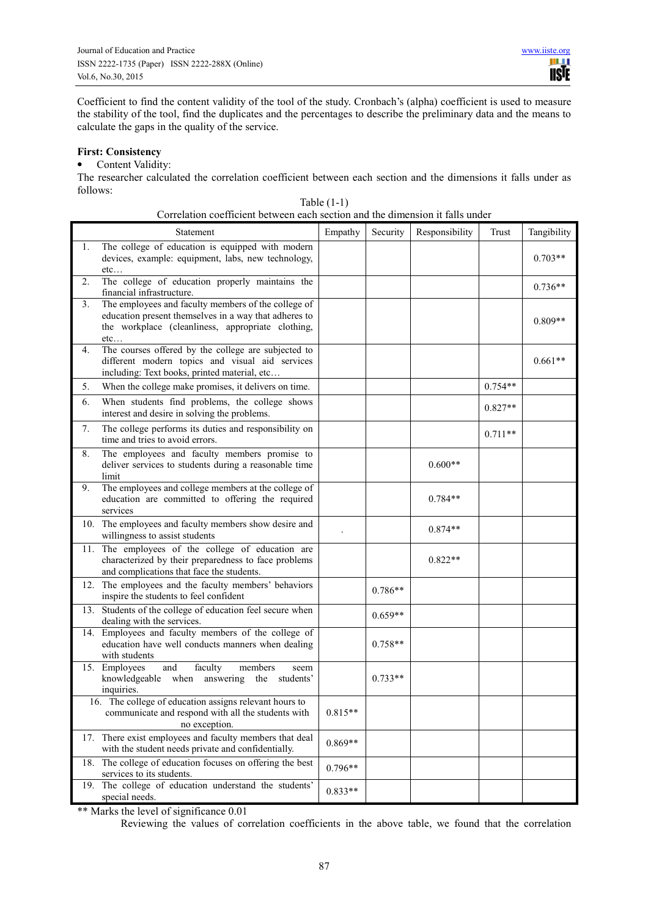Coefficient to find the content validity of the tool of the study. Cronbach's (alpha) coefficient is used to measure the stability of the tool, find the duplicates and the percentages to describe the preliminary data and the means to calculate the gaps in the quality of the service.

#### **First: Consistency**

#### • Content Validity:

The researcher calculated the correlation coefficient between each section and the dimensions it falls under as follows:

|    | on claim cochretent between each section and the unhelision it fails and th                                                                                              |           |           |                |           |             |
|----|--------------------------------------------------------------------------------------------------------------------------------------------------------------------------|-----------|-----------|----------------|-----------|-------------|
|    | Statement                                                                                                                                                                | Empathy   | Security  | Responsibility | Trust     | Tangibility |
| 1. | The college of education is equipped with modern<br>devices, example: equipment, labs, new technology,<br>etc                                                            |           |           |                |           | $0.703**$   |
| 2. | The college of education properly maintains the<br>financial infrastructure.                                                                                             |           |           |                |           | $0.736**$   |
| 3. | The employees and faculty members of the college of<br>education present themselves in a way that adheres to<br>the workplace (cleanliness, appropriate clothing,<br>etc |           |           |                |           | $0.809**$   |
| 4. | The courses offered by the college are subjected to<br>different modern topics and visual aid services<br>including: Text books, printed material, etc                   |           |           |                |           | $0.661**$   |
| 5. | When the college make promises, it delivers on time.                                                                                                                     |           |           |                | $0.754**$ |             |
| 6. | When students find problems, the college shows<br>interest and desire in solving the problems.                                                                           |           |           |                | $0.827**$ |             |
| 7. | The college performs its duties and responsibility on<br>time and tries to avoid errors.                                                                                 |           |           |                | $0.711**$ |             |
| 8. | The employees and faculty members promise to<br>deliver services to students during a reasonable time<br>limit                                                           |           |           | $0.600**$      |           |             |
| 9. | The employees and college members at the college of<br>education are committed to offering the required<br>services                                                      |           |           | $0.784**$      |           |             |
|    | 10. The employees and faculty members show desire and<br>willingness to assist students                                                                                  |           |           | $0.874**$      |           |             |
|    | 11. The employees of the college of education are<br>characterized by their preparedness to face problems<br>and complications that face the students.                   |           |           | $0.822**$      |           |             |
|    | 12. The employees and the faculty members' behaviors<br>inspire the students to feel confident                                                                           |           | $0.786**$ |                |           |             |
|    | 13. Students of the college of education feel secure when<br>dealing with the services.                                                                                  |           | $0.659**$ |                |           |             |
|    | 14. Employees and faculty members of the college of<br>education have well conducts manners when dealing<br>with students                                                |           | $0.758**$ |                |           |             |
|    | 15. Employees<br>and<br>faculty<br>members<br>seem<br>knowledgeable when answering the students'<br>inquiries.                                                           |           | $0.733**$ |                |           |             |
|    | 16. The college of education assigns relevant hours to<br>communicate and respond with all the students with<br>no exception.                                            | $0.815**$ |           |                |           |             |
|    | 17. There exist employees and faculty members that deal<br>with the student needs private and confidentially.                                                            | $0.869**$ |           |                |           |             |
|    | 18. The college of education focuses on offering the best<br>services to its students.                                                                                   | $0.796**$ |           |                |           |             |
|    | 19. The college of education understand the students'<br>special needs.                                                                                                  | $0.833**$ |           |                |           |             |

|                                                                               | Table $(1-1)$ |  |  |
|-------------------------------------------------------------------------------|---------------|--|--|
| Correlation coefficient between each section and the dimension it falls under |               |  |  |

\*\* Marks the level of significance 0.01

Reviewing the values of correlation coefficients in the above table, we found that the correlation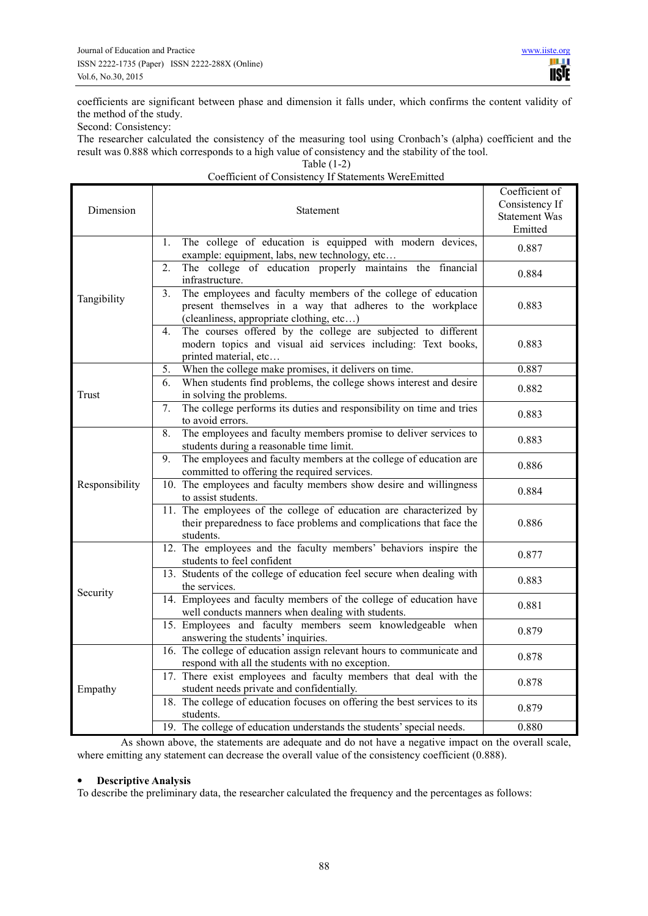coefficients are significant between phase and dimension it falls under, which confirms the content validity of the method of the study.

Second: Consistency:

The researcher calculated the consistency of the measuring tool using Cronbach's (alpha) coefficient and the result was 0.888 which corresponds to a high value of consistency and the stability of the tool.

Table (1-2)

# Coefficient of Consistency If Statements WereEmitted

| Dimension      | Statement                                                                                                                                                                                | Coefficient of<br>Consistency If<br><b>Statement Was</b><br>Emitted |
|----------------|------------------------------------------------------------------------------------------------------------------------------------------------------------------------------------------|---------------------------------------------------------------------|
|                | The college of education is equipped with modern devices,<br>$\mathbf{1}$ .<br>example: equipment, labs, new technology, etc                                                             | 0.887                                                               |
|                | The college of education properly maintains the financial<br>2.<br>infrastructure.                                                                                                       | 0.884                                                               |
| Tangibility    | The employees and faculty members of the college of education<br>3 <sub>1</sub><br>present themselves in a way that adheres to the workplace<br>(cleanliness, appropriate clothing, etc) | 0.883                                                               |
|                | The courses offered by the college are subjected to different<br>$4_{\cdot}$<br>modern topics and visual aid services including: Text books,<br>printed material, etc                    | 0.883                                                               |
|                | When the college make promises, it delivers on time.<br>5.                                                                                                                               | 0.887                                                               |
| Trust          | When students find problems, the college shows interest and desire<br>6.<br>in solving the problems.                                                                                     | 0.882                                                               |
|                | The college performs its duties and responsibility on time and tries<br>7.<br>to avoid errors.                                                                                           | 0.883                                                               |
|                | The employees and faculty members promise to deliver services to<br>8.<br>students during a reasonable time limit.                                                                       | 0.883                                                               |
|                | The employees and faculty members at the college of education are<br>9.<br>committed to offering the required services.                                                                  | 0.886                                                               |
| Responsibility | 10. The employees and faculty members show desire and willingness<br>to assist students.                                                                                                 | 0.884                                                               |
|                | 11. The employees of the college of education are characterized by<br>their preparedness to face problems and complications that face the<br>students.                                   | 0.886                                                               |
|                | 12. The employees and the faculty members' behaviors inspire the<br>students to feel confident                                                                                           | 0.877                                                               |
|                | 13. Students of the college of education feel secure when dealing with<br>the services.                                                                                                  | 0.883                                                               |
| Security       | 14. Employees and faculty members of the college of education have<br>well conducts manners when dealing with students.                                                                  | 0.881                                                               |
|                | 15. Employees and faculty members seem knowledgeable when<br>answering the students' inquiries.                                                                                          | 0.879                                                               |
|                | 16. The college of education assign relevant hours to communicate and<br>respond with all the students with no exception.                                                                | 0.878                                                               |
| Empathy        | 17. There exist employees and faculty members that deal with the<br>student needs private and confidentially.                                                                            | 0.878                                                               |
|                | 18. The college of education focuses on offering the best services to its<br>students.                                                                                                   | 0.879                                                               |
|                | 19. The college of education understands the students' special needs.                                                                                                                    | 0.880                                                               |

As shown above, the statements are adequate and do not have a negative impact on the overall scale, where emitting any statement can decrease the overall value of the consistency coefficient (0.888).

#### • **Descriptive Analysis**

To describe the preliminary data, the researcher calculated the frequency and the percentages as follows: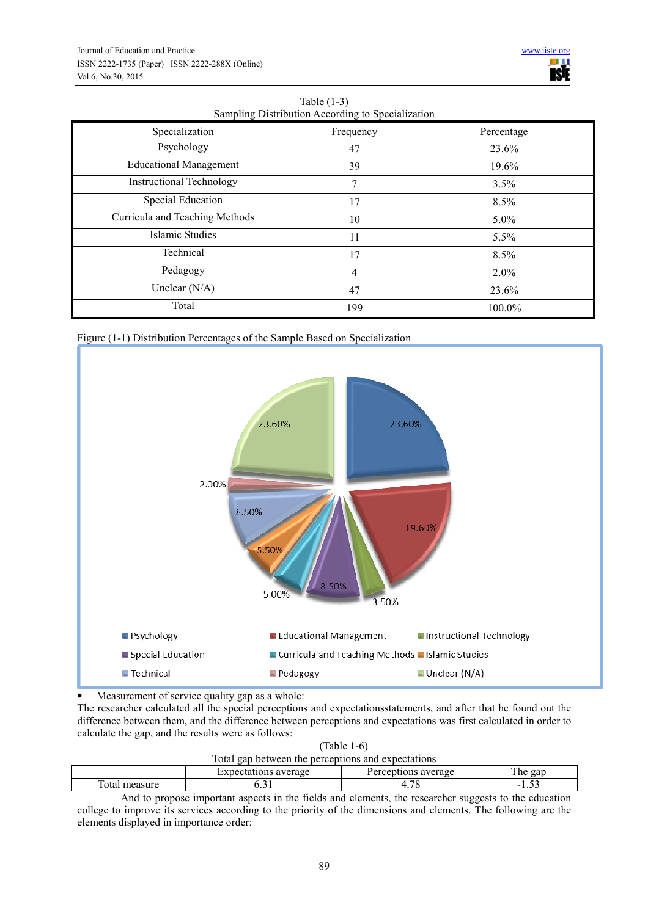| Sampling Distribution According to Specialization |                |            |  |  |  |
|---------------------------------------------------|----------------|------------|--|--|--|
| Specialization                                    | Frequency      | Percentage |  |  |  |
| Psychology                                        | 47             | 23.6%      |  |  |  |
| <b>Educational Management</b>                     | 39             | 19.6%      |  |  |  |
| <b>Instructional Technology</b>                   | 7              | 3.5%       |  |  |  |
| <b>Special Education</b>                          | 17             | 8.5%       |  |  |  |
| Curricula and Teaching Methods                    | 10             | $5.0\%$    |  |  |  |
| Islamic Studies                                   | 11             | 5.5%       |  |  |  |
| Technical                                         | 17             | 8.5%       |  |  |  |
| Pedagogy                                          | $\overline{4}$ | $2.0\%$    |  |  |  |
| Unclear $(N/A)$                                   | 47             | 23.6%      |  |  |  |
| Total                                             | 199            | 100.0%     |  |  |  |







Measurement of service quality gap as a whole:

The researcher calculated all the special perceptions and expectationsstatements, and after that he found out the difference between them, and the difference between perceptions and expectations was first calculated in order to calculate the gap, and the results were as follows:

|                                                    | $(Table 1-6)$     |
|----------------------------------------------------|-------------------|
| Total gap between the perceptions and expectations |                   |
| Expectations average                               | Percentions avera |

| average<br>∵vner<br>-16        |      | average<br>$\sim$<br>nne<br>$\sim$ | m.<br>gar<br>1 he             |  |
|--------------------------------|------|------------------------------------|-------------------------------|--|
| <b>TRUS</b><br>`ota<br>measure | v.sr | $\overline{\mathcal{F}}$<br>. .    | $\sim$ $\sim$<br>-<br>. . J J |  |
|                                | œ    |                                    |                               |  |

And to propose important aspects in the fields and elements, the researcher suggests to the education college to improve its services according to the priority of the dimensions and elements. The following are the elements displayed in importance order: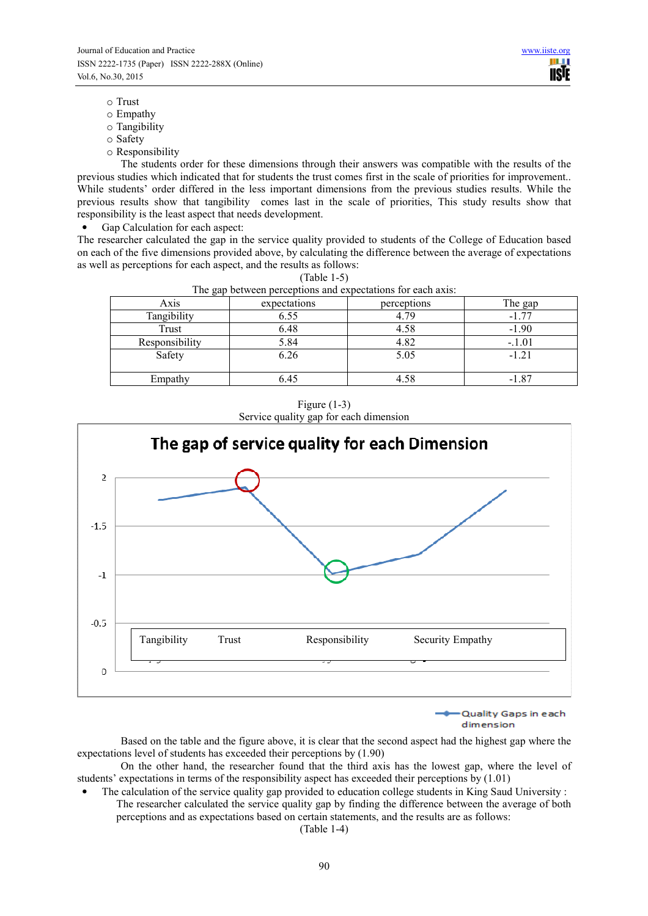- o Trust
- o Empathy
- o Tangibility
- o Safety
- o Responsibility

The students order for these dimensions through their answers was compatible with the results of the previous studies which indicated that for students the trust comes first in the scale of priorities for improvement.. While students' order differed in the less important dimensions from the previous studies results. While the previous results show that tangibility comes last in the scale of priorities, This study results show that responsibility is the least aspect that needs development.

• Gap Calculation for each aspect:

The researcher calculated the gap in the service quality provided to students of the College of Education based on each of the five dimensions provided above, by calculating the difference between the average of expectations as well as perceptions for each aspect, and the results as follows:

(Table 1-5)

| The gap between perceptions and expectations for each axis: |              |             |          |  |
|-------------------------------------------------------------|--------------|-------------|----------|--|
| Axis                                                        | expectations | perceptions | The gap  |  |
| Tangibility                                                 | 6.55         | 4.79        | $-1.77$  |  |
| Trust                                                       | 6.48         | 4.58        | $-1.90$  |  |
| Responsibility                                              | 5.84         | 4.82        | $-.1.01$ |  |
| Safety                                                      | 6.26         | 5.05        | $-1.21$  |  |
|                                                             |              |             |          |  |
| Empathy                                                     | 6.45         | 4.58        | $-1.87$  |  |

Figure (1-3) Service quality gap for each dimension



Quality Gaps in each dimension

Based on the table and the figure above, it is clear that the second aspect had the highest gap where the expectations level of students has exceeded their perceptions by (1.90)

On the other hand, the researcher found that the third axis has the lowest gap, where the level of students' expectations in terms of the responsibility aspect has exceeded their perceptions by (1.01)

• The calculation of the service quality gap provided to education college students in King Saud University : The researcher calculated the service quality gap by finding the difference between the average of both perceptions and as expectations based on certain statements, and the results are as follows:

(Table 1-4)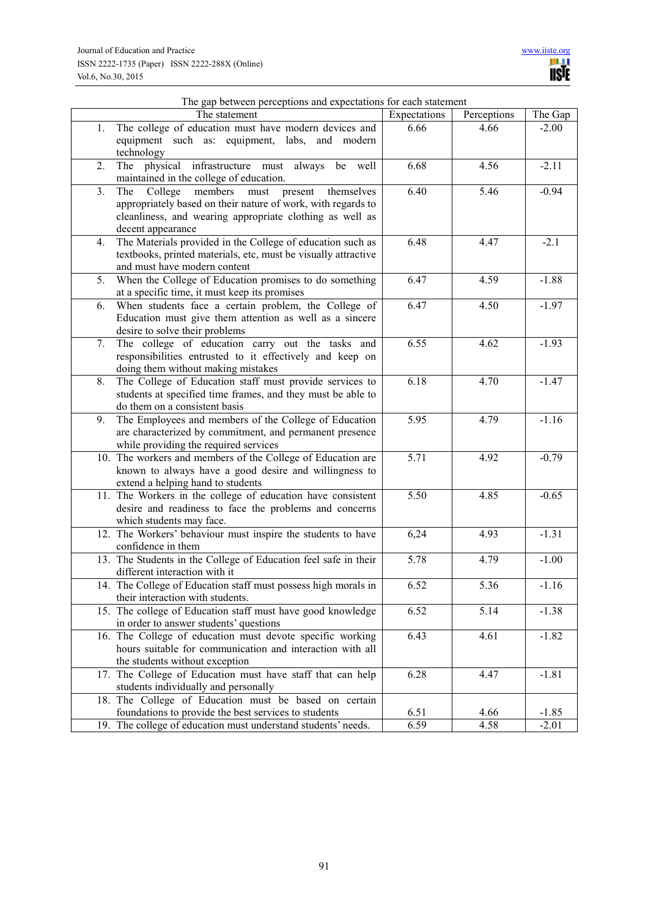|                | rne gap between perceptions and expectations for each statement |                   |             |         |
|----------------|-----------------------------------------------------------------|-------------------|-------------|---------|
|                | The statement                                                   | Expectations      | Perceptions | The Gap |
| 1.             | The college of education must have modern devices and           | 6.66              | 4.66        | $-2.00$ |
|                | equipment such as: equipment, labs, and modern                  |                   |             |         |
|                | technology                                                      |                   |             |         |
| 2.             | The physical infrastructure must always be well                 | 6.68              | 4.56        | $-2.11$ |
|                | maintained in the college of education.                         |                   |             |         |
| 3 <sub>1</sub> | members must present<br>The<br>College<br>themselves            | 6.40              | 5.46        | $-0.94$ |
|                | appropriately based on their nature of work, with regards to    |                   |             |         |
|                | cleanliness, and wearing appropriate clothing as well as        |                   |             |         |
|                | decent appearance                                               |                   |             |         |
| 4.             | The Materials provided in the College of education such as      | 6.48              | 4.47        | $-2.1$  |
|                | textbooks, printed materials, etc, must be visually attractive  |                   |             |         |
|                | and must have modern content                                    |                   |             |         |
| 5.             | When the College of Education promises to do something          | 6.47              | 4.59        | $-1.88$ |
|                | at a specific time, it must keep its promises                   |                   |             |         |
| 6.             | When students face a certain problem, the College of            | 6.47              | 4.50        | $-1.97$ |
|                | Education must give them attention as well as a sincere         |                   |             |         |
|                | desire to solve their problems                                  |                   |             |         |
| 7.             | The college of education carry out the tasks and                | 6.55              | 4.62        | $-1.93$ |
|                | responsibilities entrusted to it effectively and keep on        |                   |             |         |
|                | doing them without making mistakes                              |                   |             |         |
| 8.             | The College of Education staff must provide services to         | 6.18              | 4.70        | $-1.47$ |
|                | students at specified time frames, and they must be able to     |                   |             |         |
|                | do them on a consistent basis                                   |                   |             |         |
| 9.             | The Employees and members of the College of Education           | 5.95              | 4.79        | $-1.16$ |
|                | are characterized by commitment, and permanent presence         |                   |             |         |
|                | while providing the required services                           |                   |             |         |
|                | 10. The workers and members of the College of Education are     | $\overline{5.71}$ | 4.92        | $-0.79$ |
|                | known to always have a good desire and willingness to           |                   |             |         |
|                | extend a helping hand to students                               |                   |             |         |
|                | 11. The Workers in the college of education have consistent     | 5.50              | 4.85        | $-0.65$ |
|                | desire and readiness to face the problems and concerns          |                   |             |         |
|                | which students may face.                                        |                   |             |         |
|                | 12. The Workers' behaviour must inspire the students to have    | 6,24              | 4.93        | $-1.31$ |
|                | confidence in them                                              |                   |             |         |
|                | 13. The Students in the College of Education feel safe in their | 5.78              | 4.79        | $-1.00$ |
|                | different interaction with it                                   |                   |             |         |
|                | 14. The College of Education staff must possess high morals in  | 6.52              | 5.36        | $-1.16$ |
|                | their interaction with students.                                |                   |             |         |
|                | 15. The college of Education staff must have good knowledge     | 6.52              | 5.14        | $-1.38$ |
|                | in order to answer students' questions                          |                   |             |         |
|                | 16. The College of education must devote specific working       | 6.43              | 4.61        | $-1.82$ |
|                | hours suitable for communication and interaction with all       |                   |             |         |
|                | the students without exception                                  |                   |             |         |
|                | 17. The College of Education must have staff that can help      | 6.28              | 4.47        | $-1.81$ |
|                | students individually and personally                            |                   |             |         |
|                | 18. The College of Education must be based on certain           |                   |             |         |
|                | foundations to provide the best services to students            | 6.51              | 4.66        | $-1.85$ |
|                | 19. The college of education must understand students' needs.   | 6.59              | 4.58        | $-2.01$ |

# The gap between perceptions and expectations for each statement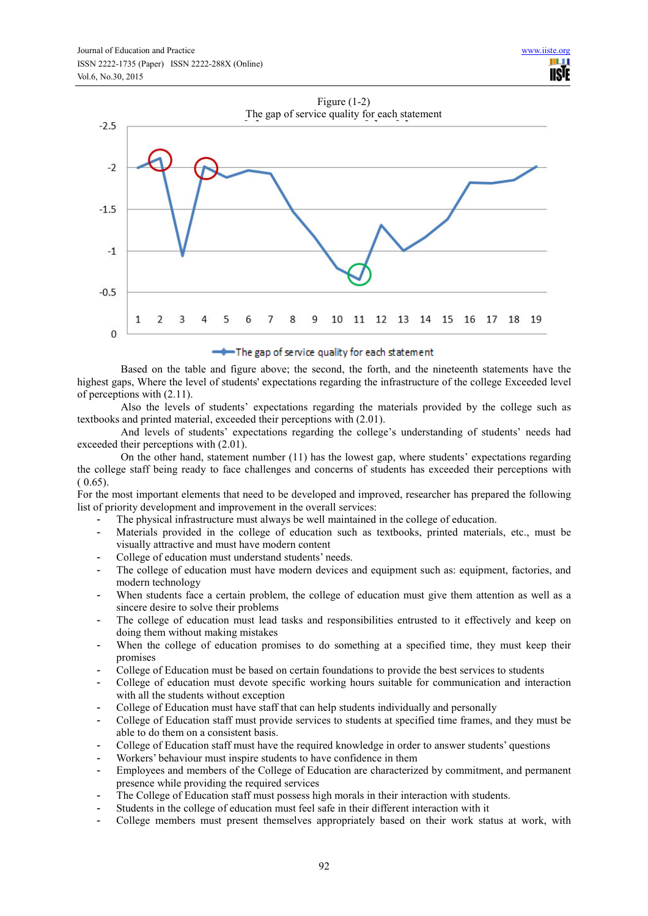

# -The gap of service quality for each statement

Based on the table and figure above; the second, the forth, and the nineteenth statements have the highest gaps, Where the level of students' expectations regarding the infrastructure of the college Exceeded level of perceptions with (2.11).

Also the levels of students' expectations regarding the materials provided by the college such as textbooks and printed material, exceeded their perceptions with (2.01).

And levels of students' expectations regarding the college's understanding of students' needs had exceeded their perceptions with (2.01).

On the other hand, statement number (11) has the lowest gap, where students' expectations regarding the college staff being ready to face challenges and concerns of students has exceeded their perceptions with  $(0.65)$ .

For the most important elements that need to be developed and improved, researcher has prepared the following list of priority development and improvement in the overall services:

- The physical infrastructure must always be well maintained in the college of education.
- Materials provided in the college of education such as textbooks, printed materials, etc., must be visually attractive and must have modern content
- College of education must understand students' needs.
- The college of education must have modern devices and equipment such as: equipment, factories, and modern technology
- When students face a certain problem, the college of education must give them attention as well as a sincere desire to solve their problems
- The college of education must lead tasks and responsibilities entrusted to it effectively and keep on doing them without making mistakes
- When the college of education promises to do something at a specified time, they must keep their promises
- College of Education must be based on certain foundations to provide the best services to students
- College of education must devote specific working hours suitable for communication and interaction with all the students without exception
- College of Education must have staff that can help students individually and personally
- College of Education staff must provide services to students at specified time frames, and they must be able to do them on a consistent basis.
- College of Education staff must have the required knowledge in order to answer students' questions
- Workers' behaviour must inspire students to have confidence in them
- Employees and members of the College of Education are characterized by commitment, and permanent presence while providing the required services
- The College of Education staff must possess high morals in their interaction with students.
- Students in the college of education must feel safe in their different interaction with it
- College members must present themselves appropriately based on their work status at work, with